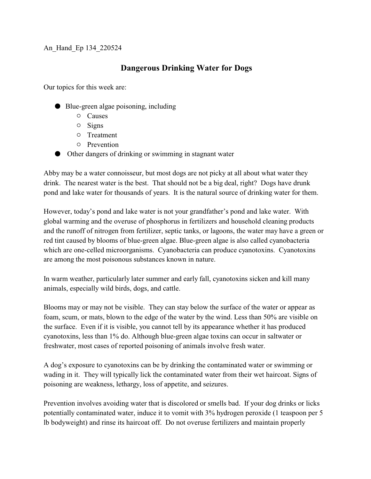## An\_Hand\_Ep 134\_220524

## **Dangerous Drinking Water for Dogs**

Our topics for this week are:

- $\bullet$  Blue-green algae poisoning, including
	- $\circ$  Causes
	- $\circ$  Signs
	- $\circ$  Treatment
	- $O$  Prevention
- M Other dangers of drinking or swimming in stagnant water

Abby may be a water connoisseur, but most dogs are not picky at all about what water they drink. The nearest water is the best. That should not be a big deal, right? Dogs have drunk pond and lake water for thousands of years. It is the natural source of drinking water for them.

However, today's pond and lake water is not your grandfather's pond and lake water. With global warming and the overuse of phosphorus in fertilizers and household cleaning products and the runoff of nitrogen from fertilizer, septic tanks, or lagoons, the water may have a green or red tint caused by blooms of blue-green algae. Blue-green algae is also called cyanobacteria which are one-celled microorganisms. Cyanobacteria can produce cyanotoxins. Cyanotoxins are among the most poisonous substances known in nature.

In warm weather, particularly later summer and early fall, cyanotoxins sicken and kill many animals, especially wild birds, dogs, and cattle.

Blooms may or may not be visible. They can stay below the surface of the water or appear as foam, scum, or mats, blown to the edge of the water by the wind. Less than 50% are visible on the surface. Even if it is visible, you cannot tell by its appearance whether it has produced cyanotoxins, less than 1% do. Although blue-green algae toxins can occur in saltwater or freshwater, most cases of reported poisoning of animals involve fresh water.

A dog's exposure to cyanotoxins can be by drinking the contaminated water or swimming or wading in it. They will typically lick the contaminated water from their wet haircoat. Signs of poisoning are weakness, lethargy, loss of appetite, and seizures.

Prevention involves avoiding water that is discolored or smells bad. If your dog drinks or licks potentially contaminated water, induce it to vomit with 3% hydrogen peroxide (1 teaspoon per 5 lb bodyweight) and rinse its haircoat off. Do not overuse fertilizers and maintain properly